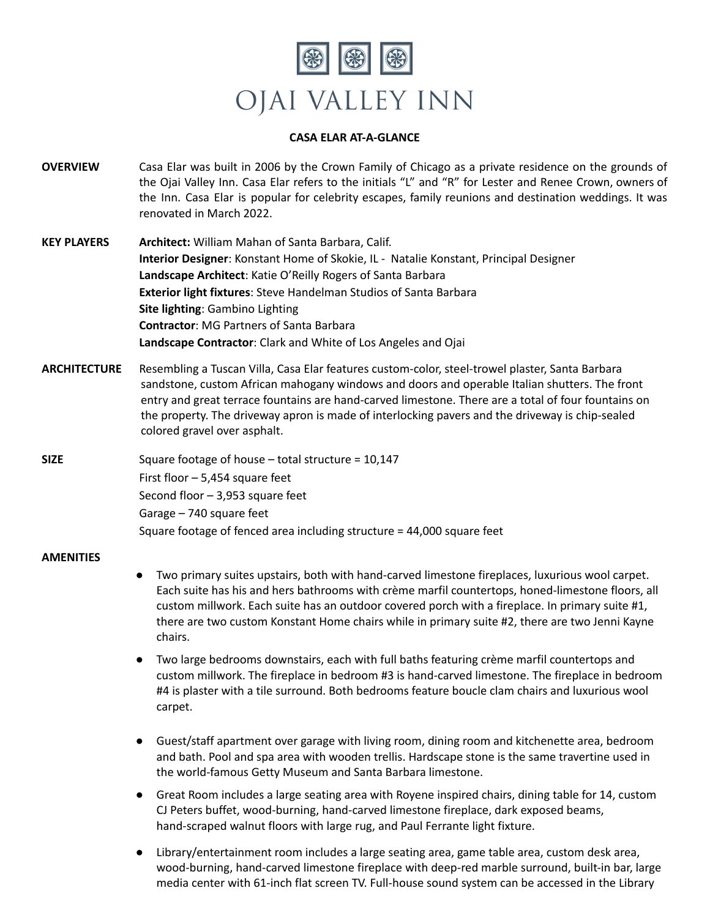

## **CASA ELAR AT-A-GLANCE**

- **OVERVIEW** Casa Elar was built in 2006 by the Crown Family of Chicago as a private residence on the grounds of the Ojai Valley Inn. Casa Elar refers to the initials "L" and "R" for Lester and Renee Crown, owners of the Inn. Casa Elar is popular for celebrity escapes, family reunions and destination weddings. It was renovated in March 2022.
- **KEY PLAYERS Architect:** William Mahan of Santa Barbara, Calif. **Interior Designer**: Konstant Home of Skokie, IL - Natalie Konstant, Principal Designer **Landscape Architect**: Katie O'Reilly Rogers of Santa Barbara **Exterior light fixtures**: Steve Handelman Studios of Santa Barbara **Site lighting**: Gambino Lighting **Contractor**: MG Partners of Santa Barbara **Landscape Contractor**: Clark and White of Los Angeles and Ojai
- **ARCHITECTURE** Resembling a Tuscan Villa, Casa Elar features custom-color, steel-trowel plaster, Santa Barbara sandstone, custom African mahogany windows and doors and operable Italian shutters. The front entry and great terrace fountains are hand-carved limestone. There are a total of four fountains on the property. The driveway apron is made of interlocking pavers and the driveway is chip-sealed colored gravel over asphalt.

**SIZE** Square footage of house – total structure = 10,147 First floor – 5,454 square feet Second floor – 3,953 square feet Garage – 740 square feet Square footage of fenced area including structure = 44,000 square feet

## **AMENITIES**

- Two primary suites upstairs, both with hand-carved limestone fireplaces, luxurious wool carpet. Each suite has his and hers bathrooms with crème marfil countertops, honed-limestone floors, all custom millwork. Each suite has an outdoor covered porch with a fireplace. In primary suite #1, there are two custom Konstant Home chairs while in primary suite #2, there are two Jenni Kayne chairs.
- Two large bedrooms downstairs, each with full baths featuring crème marfil countertops and custom millwork. The fireplace in bedroom #3 is hand-carved limestone. The fireplace in bedroom #4 is plaster with a tile surround. Both bedrooms feature boucle clam chairs and luxurious wool carpet.
- Guest/staff apartment over garage with living room, dining room and kitchenette area, bedroom and bath. Pool and spa area with wooden trellis. Hardscape stone is the same travertine used in the world-famous Getty Museum and Santa Barbara limestone.
- Great Room includes a large seating area with Royene inspired chairs, dining table for 14, custom CJ Peters buffet, wood-burning, hand-carved limestone fireplace, dark exposed beams, hand-scraped walnut floors with large rug, and Paul Ferrante light fixture.
- Library/entertainment room includes a large seating area, game table area, custom desk area, wood-burning, hand-carved limestone fireplace with deep-red marble surround, built-in bar, large media center with 61-inch flat screen TV. Full-house sound system can be accessed in the Library